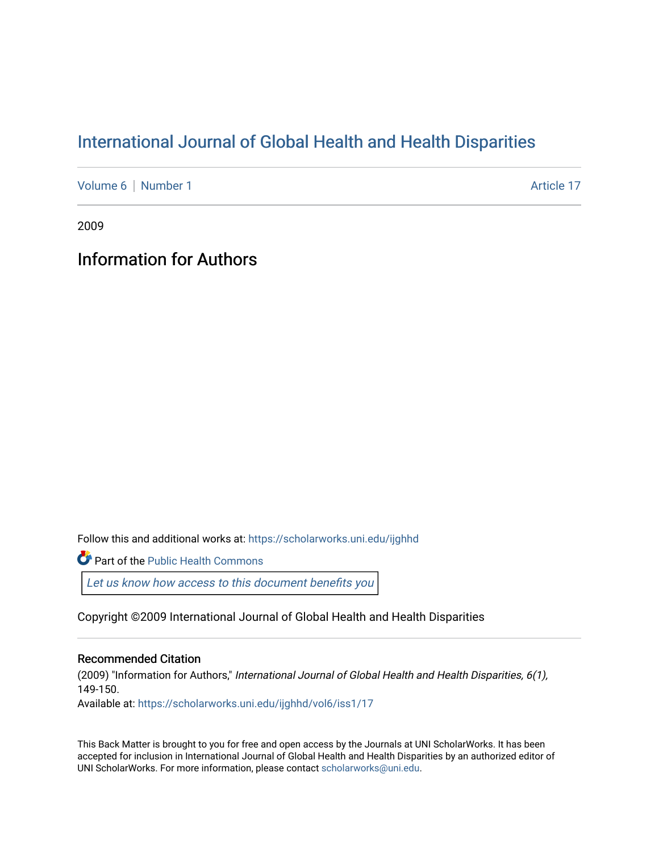## [International Journal of Global Health and Health Disparities](https://scholarworks.uni.edu/ijghhd)

[Volume 6](https://scholarworks.uni.edu/ijghhd/vol6) | [Number 1](https://scholarworks.uni.edu/ijghhd/vol6/iss1) Article 17

2009

## Information for Authors

Follow this and additional works at: [https://scholarworks.uni.edu/ijghhd](https://scholarworks.uni.edu/ijghhd?utm_source=scholarworks.uni.edu%2Fijghhd%2Fvol6%2Fiss1%2F17&utm_medium=PDF&utm_campaign=PDFCoverPages)

Part of the [Public Health Commons](http://network.bepress.com/hgg/discipline/738?utm_source=scholarworks.uni.edu%2Fijghhd%2Fvol6%2Fiss1%2F17&utm_medium=PDF&utm_campaign=PDFCoverPages) 

Let us know how access to this document benefits you

Copyright ©2009 International Journal of Global Health and Health Disparities

#### Recommended Citation

(2009) "Information for Authors," International Journal of Global Health and Health Disparities, 6(1), 149-150. Available at: [https://scholarworks.uni.edu/ijghhd/vol6/iss1/17](https://scholarworks.uni.edu/ijghhd/vol6/iss1/17?utm_source=scholarworks.uni.edu%2Fijghhd%2Fvol6%2Fiss1%2F17&utm_medium=PDF&utm_campaign=PDFCoverPages)

This Back Matter is brought to you for free and open access by the Journals at UNI ScholarWorks. It has been accepted for inclusion in International Journal of Global Health and Health Disparities by an authorized editor of UNI ScholarWorks. For more information, please contact [scholarworks@uni.edu.](mailto:scholarworks@uni.edu)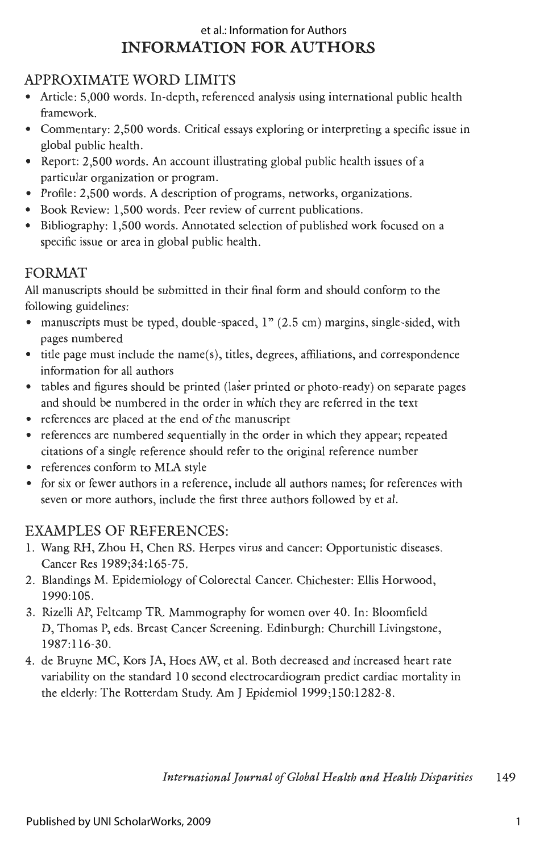#### **INFORMATION FOR AUTHORS**  et al.: Information for Authors

#### APPROXIMATE WORD LIMITS

- Article: 5,000 words. In-depth, referenced analysis using international public health framework.
- Commentary: 2,500 words. Critical essays exploring or interpreting a specific issue in global public health.
- Report: 2,500 words. An account illustrating global public health issues of a particular organization or program.
- Profile: 2,500 words. A description of programs, networks, organizations.
- Book Review: 1,500 words. Peer review of current publications.
- Bibliography: 1,500 words. Annotated selection of published work focused on a specific issue or area in global public health.

#### FORMAT

All manuscripts should be submitted in their final form and should conform to the following guidelines:

- manuscripts must be typed, double-spaced, 1" (2.5 cm) margins, single-sided, with pages numbered
- $\bullet$  title page must include the name(s), titles, degrees, affiliations, and correspondence information for all authors
- tables and figures should be printed (laser printed or photo-ready) on separate pages and should be numbered in the order in which they are referred in the text
- references are placed at the end of the manuscript
- references are numbered sequentially in the order in which they appear; repeated citations of a single reference should refer to the original reference number
- references conform to MLA style
- for six or fewer authors in a reference, include all authors names; for references with seven or more authors, include the first three authors followed by et al.

### EXAMPLES OF REFERENCES:

- 1. Wang RH, Zhou H, Chen RS. Herpes virus and cancer: Opportunistic diseases. Cancer Res 1989;34:165-75.
- 2. Blandings **M.** Epidemiology of Colorectal Cancer. Chichester: Ellis Horwood, 1990:105.
- 3. Rizelli AP, Feltcamp TR. Mammography for women over 40. In: Bloomfield D, Thomas P, eds. Breast Cancer Screening. Edinburgh: Churchill Livingstone, 1987:116-30.
- 4. de Bruyne MC, Kors JA, Hoes AW, et al. Both decreased and increased heart rate variability on the standard 10 second electrocardiogram predict cardiac mortality in the elderly: The Rotterdam Study. Am J Epidemiol 1999;150:1282-8.